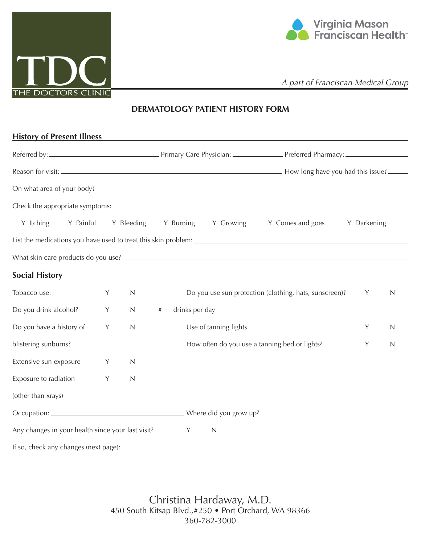



*A part of Franciscan Medical Group*

## **DERMATOLOGY PATIENT HISTORY FORM**

| On what area of your body?                                                                          |   |              |           |                                                          |                                                        |             |             |
|-----------------------------------------------------------------------------------------------------|---|--------------|-----------|----------------------------------------------------------|--------------------------------------------------------|-------------|-------------|
| Check the appropriate symptoms:                                                                     |   |              |           |                                                          |                                                        |             |             |
| Y Itching<br>Y Painful                                                                              |   | Y Bleeding   | Y Burning | Y Growing                                                | Y Comes and goes                                       | Y Darkening |             |
|                                                                                                     |   |              |           |                                                          |                                                        |             |             |
|                                                                                                     |   |              |           |                                                          |                                                        |             |             |
| <b>Social History</b>                                                                               |   |              |           | <u> 1989 - John Stone, amerikansk politiker (* 1989)</u> |                                                        |             |             |
| Tobacco use:                                                                                        | Y | $\mathbb N$  |           |                                                          | Do you use sun protection (clothing, hats, sunscreen)? | Y           | $\mathbb N$ |
| Do you drink alcohol?                                                                               | Y | $\mathbb{N}$ | #         | drinks per day                                           |                                                        |             |             |
|                                                                                                     |   |              |           |                                                          |                                                        |             | $\mathbb N$ |
|                                                                                                     | Y | $\mathsf N$  |           | Use of tanning lights                                    |                                                        | Y           |             |
|                                                                                                     |   |              |           |                                                          | How often do you use a tanning bed or lights?          | Y           | $\mathbb N$ |
|                                                                                                     | Y | $\mathbb N$  |           |                                                          |                                                        |             |             |
| Do you have a history of<br>blistering sunburns?<br>Extensive sun exposure<br>Exposure to radiation | Y | $\mathbb N$  |           |                                                          |                                                        |             |             |
| (other than xrays)                                                                                  |   |              |           |                                                          |                                                        |             |             |